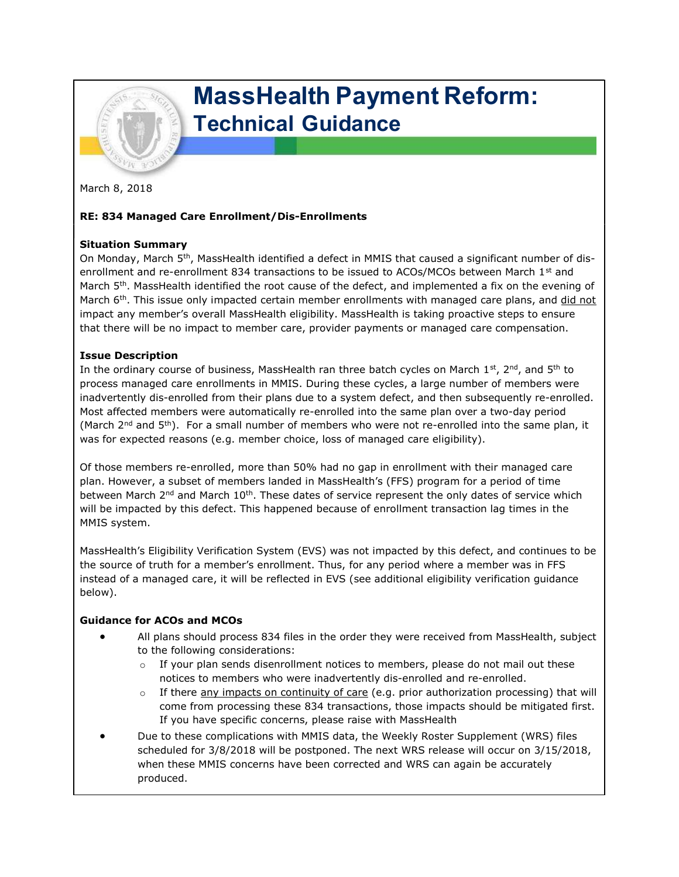

# MassHealth Payment Reform: Technical Guidance

March 8, 2018

## RE: 834 Managed Care Enrollment/Dis-Enrollments

#### Situation Summary

On Monday, March 5th, MassHealth identified a defect in MMIS that caused a significant number of disenrollment and re-enrollment 834 transactions to be issued to ACOs/MCOs between March 1<sup>st</sup> and March 5<sup>th</sup>. MassHealth identified the root cause of the defect, and implemented a fix on the evening of March  $6<sup>th</sup>$ . This issue only impacted certain member enrollments with managed care plans, and did not impact any member's overall MassHealth eligibility. MassHealth is taking proactive steps to ensure that there will be no impact to member care, provider payments or managed care compensation.

#### Issue Description

In the ordinary course of business, MassHealth ran three batch cycles on March 1<sup>st</sup>, 2<sup>nd</sup>, and 5<sup>th</sup> to process managed care enrollments in MMIS. During these cycles, a large number of members were inadvertently dis-enrolled from their plans due to a system defect, and then subsequently re-enrolled. Most affected members were automatically re-enrolled into the same plan over a two-day period (March 2<sup>nd</sup> and 5<sup>th</sup>). For a small number of members who were not re-enrolled into the same plan, it was for expected reasons (e.g. member choice, loss of managed care eligibility).

Of those members re-enrolled, more than 50% had no gap in enrollment with their managed care plan. However, a subset of members landed in MassHealth's (FFS) program for a period of time between March  $2^{nd}$  and March  $10^{th}$ . These dates of service represent the only dates of service which will be impacted by this defect. This happened because of enrollment transaction lag times in the MMIS system.

MassHealth's Eligibility Verification System (EVS) was not impacted by this defect, and continues to be the source of truth for a member's enrollment. Thus, for any period where a member was in FFS instead of a managed care, it will be reflected in EVS (see additional eligibility verification guidance below).

### Guidance for ACOs and MCOs

- All plans should process 834 files in the order they were received from MassHealth, subject to the following considerations:
	- $\circ$  If your plan sends disenrollment notices to members, please do not mail out these notices to members who were inadvertently dis-enrolled and re-enrolled.
	- $\circ$  If there any impacts on continuity of care (e.g. prior authorization processing) that will come from processing these 834 transactions, those impacts should be mitigated first. If you have specific concerns, please raise with MassHealth
- Due to these complications with MMIS data, the Weekly Roster Supplement (WRS) files scheduled for 3/8/2018 will be postponed. The next WRS release will occur on 3/15/2018, when these MMIS concerns have been corrected and WRS can again be accurately produced.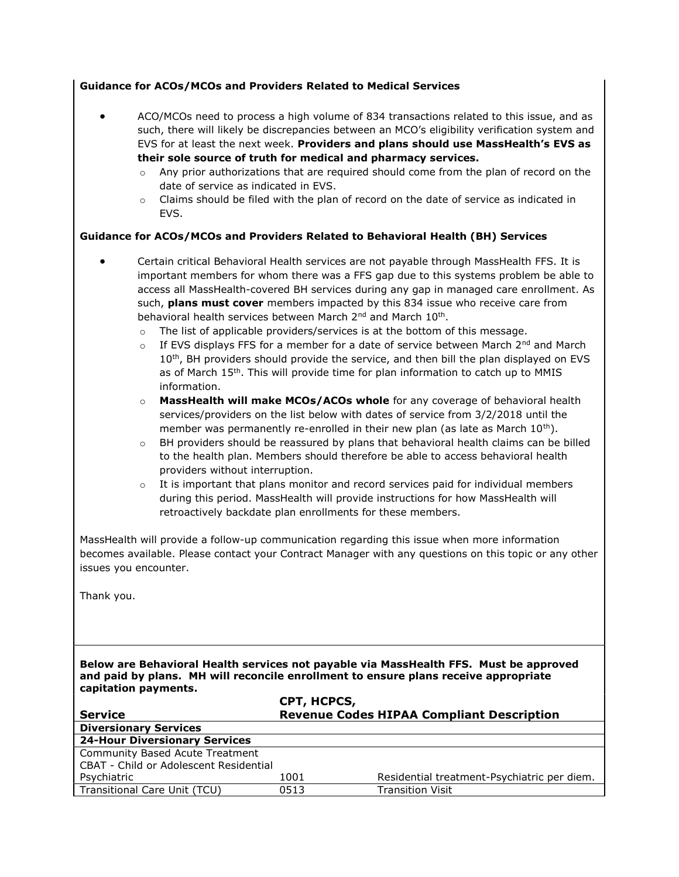|  |  | <b>Guidance for ACOs/MCOs and Providers Related to Medical Services</b> |  |  |
|--|--|-------------------------------------------------------------------------|--|--|
|  |  |                                                                         |  |  |

- ACO/MCOs need to process a high volume of 834 transactions related to this issue, and as such, there will likely be discrepancies between an MCO's eligibility verification system and EVS for at least the next week. Providers and plans should use MassHealth's EVS as their sole source of truth for medical and pharmacy services.
	- $\circ$  Any prior authorizations that are required should come from the plan of record on the date of service as indicated in EVS.
	- $\circ$  Claims should be filed with the plan of record on the date of service as indicated in EVS.

#### Guidance for ACOs/MCOs and Providers Related to Behavioral Health (BH) Services

- Certain critical Behavioral Health services are not payable through MassHealth FFS. It is important members for whom there was a FFS gap due to this systems problem be able to access all MassHealth-covered BH services during any gap in managed care enrollment. As such, plans must cover members impacted by this 834 issue who receive care from behavioral health services between March 2<sup>nd</sup> and March 10<sup>th</sup>.
	- o The list of applicable providers/services is at the bottom of this message.
	- $\circ$  If EVS displays FFS for a member for a date of service between March 2<sup>nd</sup> and March 10<sup>th</sup>, BH providers should provide the service, and then bill the plan displayed on EVS as of March 15<sup>th</sup>. This will provide time for plan information to catch up to MMIS information.
	- $\circ$  MassHealth will make MCOs/ACOs whole for any coverage of behavioral health services/providers on the list below with dates of service from 3/2/2018 until the member was permanently re-enrolled in their new plan (as late as March  $10^{th}$ ).
	- $\circ$  BH providers should be reassured by plans that behavioral health claims can be billed to the health plan. Members should therefore be able to access behavioral health providers without interruption.
	- $\circ$  It is important that plans monitor and record services paid for individual members during this period. MassHealth will provide instructions for how MassHealth will retroactively backdate plan enrollments for these members.

MassHealth will provide a follow-up communication regarding this issue when more information becomes available. Please contact your Contract Manager with any questions on this topic or any other issues you encounter.

Thank you.

Below are Behavioral Health services not payable via MassHealth FFS. Must be approved and paid by plans. MH will reconcile enrollment to ensure plans receive appropriate capitation payments.  $\overline{\phantom{0}}$ 

|                                        | CPT, HCPCS,                                      |                                             |  |  |  |
|----------------------------------------|--------------------------------------------------|---------------------------------------------|--|--|--|
| <b>Service</b>                         | <b>Revenue Codes HIPAA Compliant Description</b> |                                             |  |  |  |
| <b>Diversionary Services</b>           |                                                  |                                             |  |  |  |
| <b>24-Hour Diversionary Services</b>   |                                                  |                                             |  |  |  |
| Community Based Acute Treatment        |                                                  |                                             |  |  |  |
| CBAT - Child or Adolescent Residential |                                                  |                                             |  |  |  |
| Psychiatric                            | 1001                                             | Residential treatment-Psychiatric per diem. |  |  |  |
| Transitional Care Unit (TCU)           | 0513                                             | <b>Transition Visit</b>                     |  |  |  |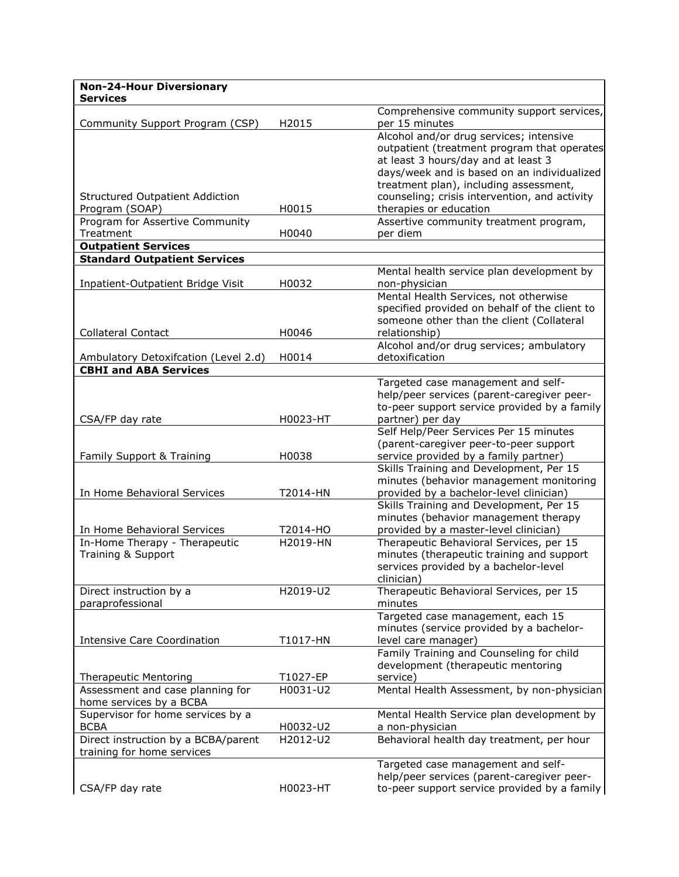| <b>Non-24-Hour Diversionary</b><br><b>Services</b>                   |          |                                               |
|----------------------------------------------------------------------|----------|-----------------------------------------------|
|                                                                      |          | Comprehensive community support services,     |
| Community Support Program (CSP)                                      | H2015    | per 15 minutes                                |
|                                                                      |          | Alcohol and/or drug services; intensive       |
|                                                                      |          | outpatient (treatment program that operates   |
|                                                                      |          | at least 3 hours/day and at least 3           |
|                                                                      |          | days/week and is based on an individualized   |
|                                                                      |          | treatment plan), including assessment,        |
| <b>Structured Outpatient Addiction</b>                               |          | counseling; crisis intervention, and activity |
| Program (SOAP)                                                       | H0015    | therapies or education                        |
| Program for Assertive Community                                      |          | Assertive community treatment program,        |
| Treatment                                                            | H0040    | per diem                                      |
| <b>Outpatient Services</b>                                           |          |                                               |
| <b>Standard Outpatient Services</b>                                  |          |                                               |
|                                                                      |          | Mental health service plan development by     |
| Inpatient-Outpatient Bridge Visit                                    | H0032    | non-physician                                 |
|                                                                      |          | Mental Health Services, not otherwise         |
|                                                                      |          | specified provided on behalf of the client to |
|                                                                      |          | someone other than the client (Collateral     |
| <b>Collateral Contact</b>                                            | H0046    | relationship)                                 |
|                                                                      |          | Alcohol and/or drug services; ambulatory      |
| Ambulatory Detoxifcation (Level 2.d)<br><b>CBHI and ABA Services</b> | H0014    | detoxification                                |
|                                                                      |          | Targeted case management and self-            |
|                                                                      |          | help/peer services (parent-caregiver peer-    |
|                                                                      |          | to-peer support service provided by a family  |
| CSA/FP day rate                                                      | H0023-HT | partner) per day                              |
|                                                                      |          | Self Help/Peer Services Per 15 minutes        |
|                                                                      |          | (parent-caregiver peer-to-peer support        |
| Family Support & Training                                            | H0038    | service provided by a family partner)         |
|                                                                      |          | Skills Training and Development, Per 15       |
|                                                                      |          | minutes (behavior management monitoring       |
| In Home Behavioral Services                                          | T2014-HN | provided by a bachelor-level clinician)       |
|                                                                      |          | Skills Training and Development, Per 15       |
|                                                                      |          | minutes (behavior management therapy          |
| In Home Behavioral Services                                          | T2014-HO | provided by a master-level clinician)         |
| In-Home Therapy - Therapeutic                                        | H2019-HN | Therapeutic Behavioral Services, per 15       |
| Training & Support                                                   |          | minutes (therapeutic training and support     |
|                                                                      |          | services provided by a bachelor-level         |
|                                                                      |          | clinician)                                    |
| Direct instruction by a                                              | H2019-U2 | Therapeutic Behavioral Services, per 15       |
| paraprofessional                                                     |          | minutes                                       |
|                                                                      |          | Targeted case management, each 15             |
|                                                                      |          | minutes (service provided by a bachelor-      |
| <b>Intensive Care Coordination</b>                                   | T1017-HN | level care manager)                           |
|                                                                      |          | Family Training and Counseling for child      |
|                                                                      |          | development (therapeutic mentoring            |
| <b>Therapeutic Mentoring</b>                                         | T1027-EP | service)                                      |
| Assessment and case planning for<br>home services by a BCBA          | H0031-U2 | Mental Health Assessment, by non-physician    |
| Supervisor for home services by a                                    |          | Mental Health Service plan development by     |
| <b>BCBA</b>                                                          | H0032-U2 | a non-physician                               |
| Direct instruction by a BCBA/parent                                  | H2012-U2 | Behavioral health day treatment, per hour     |
| training for home services                                           |          |                                               |
|                                                                      |          | Targeted case management and self-            |
|                                                                      |          | help/peer services (parent-caregiver peer-    |
| CSA/FP day rate                                                      | H0023-HT | to-peer support service provided by a family  |